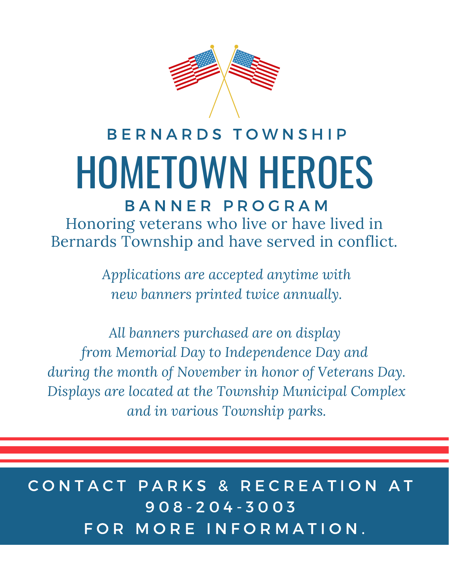

# HOMETOWN HEROES B E R N A R D S T O W N S H I P B A N N E R P R O G R A M

Honoring veterans who live or have lived in Bernards Township and have served in conflict.

> *Applications are accepted anytime with new banners printed twice annually.*

*All banners purchased are on display from Memorial Day to Independence Day and during the month of November in honor of Veterans Day. Displays are located at the Township Municipal Complex and in various Township parks.*

CONTACT PARKS & RECREATION AT 9 0 8 - 2 0 4 - 3 0 0 3 FOR MORE INFORMATION.